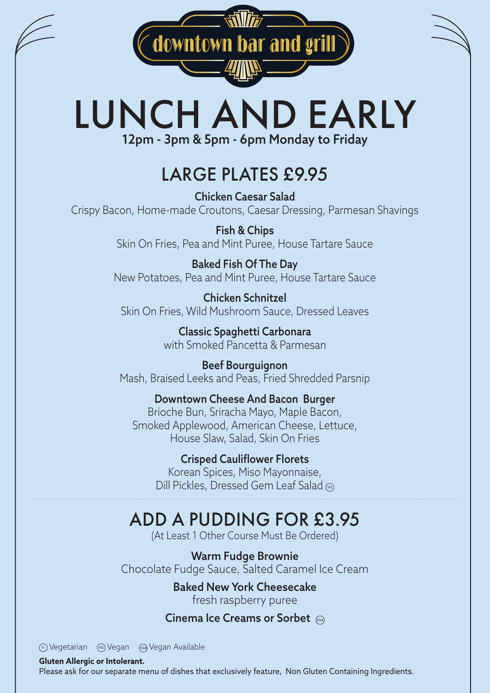downtown bar and grill

# LUNCH AND EARLY 12pm - 3pm & 5pm - 6pm Monday to Friday

### LARGE PLATES £9.95

Chicken Caesar Salad Crispy Bacon, Home-made Croutons, Caesar Dressing, Parmesan Shavings

> Fish & Chips Skin On Fries, Pea and Mint Puree, House Tartare Sauce

Baked Fish Of The Day New Potatoes, Pea and Mint Puree, House Tartare Sauce

Chicken Schnitzel Skin On Fries, Wild Mushroom Sauce, Dressed Leaves

> Classic Spaghetti Carbonara with Smoked Pancetta & Parmesan

Beef Bourguignon Mash, Braised Leeks and Peas, Fried Shredded Parsnip

Downtown Cheese And Bacon Burger Brioche Bun, Sriracha Mayo, Maple Bacon, Smoked Applewood, American Cheese, Lettuce, House Slaw, Salad, Skin On Fries

> Crisped Cauliflower Florets Korean Spices, Miso Mayonnaise, Dill Pickles, Dressed Gem Leaf Salad (6)

### ADD A PUDDING FOR £3.95

(At Least 1 Other Course Must Be Ordered)

Warm Fudge Brownie Chocolate Fudge Sauce, Salted Caramel Ice Cream

> Baked New York Cheesecake fresh raspberry puree

#### Cinema Ice Creams or Sorbet (GA)

W Vegetarian (v Vegan (a Vegan Available

**Gluten Allergic or Intolerant.** 

Please ask for our separate menu of dishes that exclusively feature, Non Gluten Containing Ingredients.